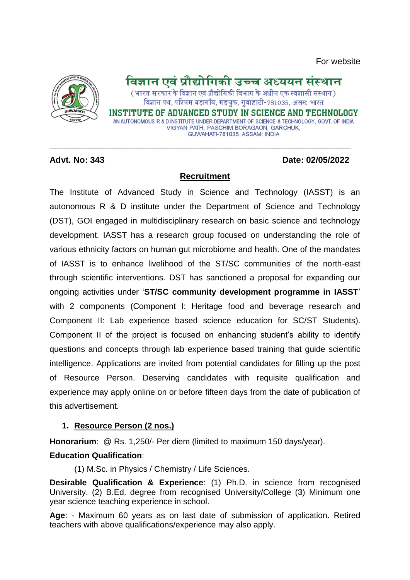

# विज्ञान एवं प्रौद्योगिकी उच्च अध्ययन संस्थान

( भारत सरकार के विज्ञान एवं प्रौद्योगिकी विभाग के अधीन एक स्वशासी संस्थान ) विज्ञान पथ, पश्चिम बड़ागाँव, गड़चुक, गुवाहाटी-781035, असम: भारत

INSTITUTE OF ADVANCED STUDY IN SCIENCE AND TECHNOLOGY AN AUTONOMOUS R & D INSTITUTE UNDER DEPARTMENT OF SCIENCE & TECHNOLOGY, GOVT, OF INDIA VIGYAN PATH, PASCHIM BORAGAON, GARCHUK, GUWAHATI-781035, ASSAM: INDIA

### **Advt. No: 343 Date: 02/05/2022**

### **Recruitment**

\_\_\_\_\_\_\_\_\_\_\_\_\_\_\_\_\_\_\_\_\_\_\_\_\_\_\_\_\_\_\_\_\_\_\_\_\_\_\_\_\_\_\_\_\_\_\_\_\_\_\_\_\_\_\_\_\_\_\_\_\_\_\_

The Institute of Advanced Study in Science and Technology (IASST) is an autonomous R & D institute under the Department of Science and Technology (DST), GOI engaged in multidisciplinary research on basic science and technology development. IASST has a research group focused on understanding the role of various ethnicity factors on human gut microbiome and health. One of the mandates of IASST is to enhance livelihood of the ST/SC communities of the north-east through scientific interventions. DST has sanctioned a proposal for expanding our ongoing activities under '**ST/SC community development programme in IASST**' with 2 components (Component I: Heritage food and beverage research and Component II: Lab experience based science education for SC/ST Students). Component II of the project is focused on enhancing student's ability to identify questions and concepts through lab experience based training that guide scientific intelligence. Applications are invited from potential candidates for filling up the post of Resource Person. Deserving candidates with requisite qualification and experience may apply online on or before fifteen days from the date of publication of this advertisement.

# **1. Resource Person (2 nos.)**

**Honorarium**: @ Rs. 1,250/- Per diem (limited to maximum 150 days/year).

# **Education Qualification**:

(1) M.Sc. in Physics / Chemistry / Life Sciences.

**Desirable Qualification & Experience**: (1) Ph.D. in science from recognised University. (2) B.Ed. degree from recognised University/College (3) Minimum one year science teaching experience in school.

**Age**: - Maximum 60 years as on last date of submission of application. Retired teachers with above qualifications/experience may also apply.